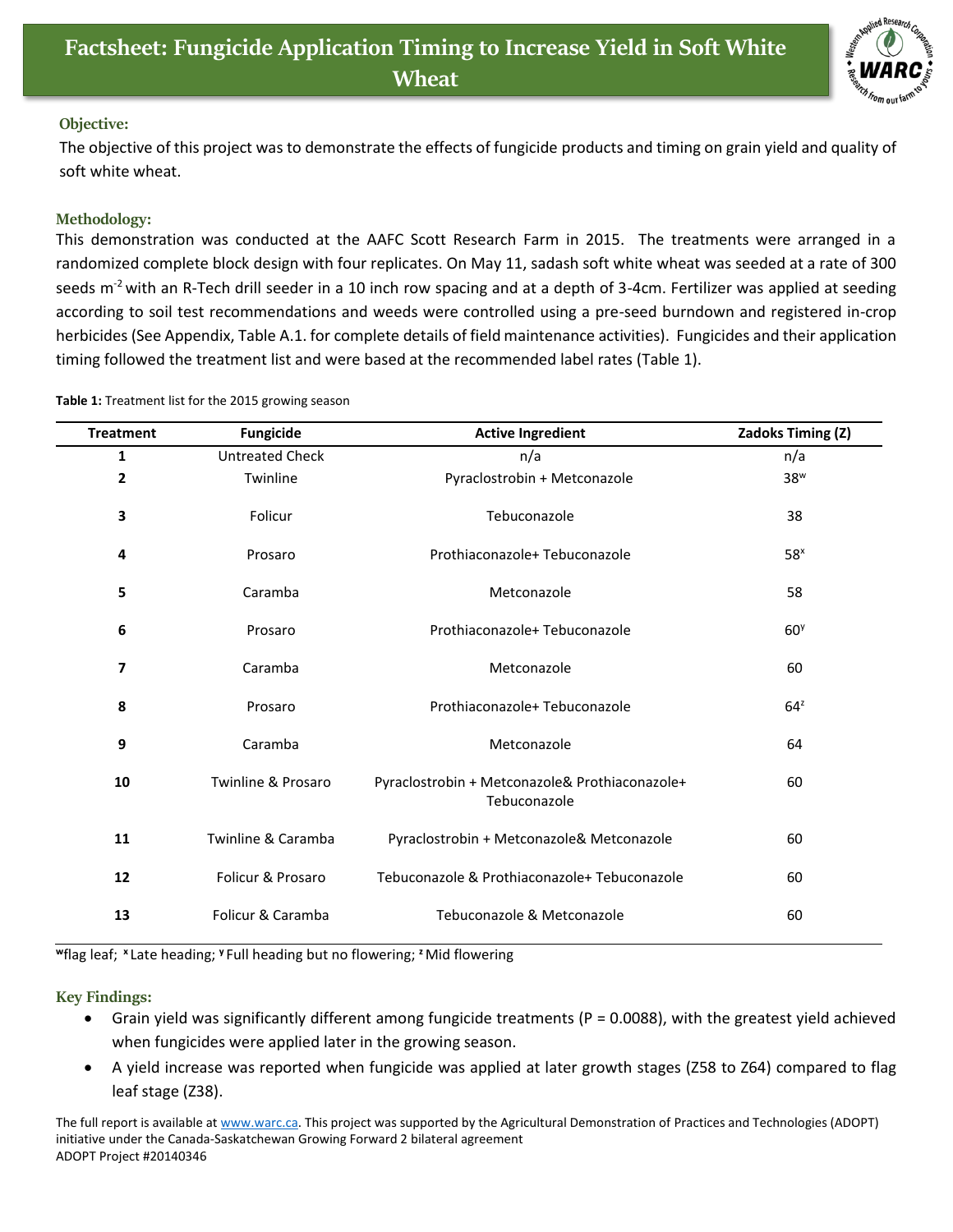

## **Objective:**

The objective of this project was to demonstrate the effects of fungicide products and timing on grain yield and quality of soft white wheat.

## **Methodology:**

This demonstration was conducted at the AAFC Scott Research Farm in 2015. The treatments were arranged in a randomized complete block design with four replicates. On May 11, sadash soft white wheat was seeded at a rate of 300 seeds  $m<sup>2</sup>$  with an R-Tech drill seeder in a 10 inch row spacing and at a depth of 3-4cm. Fertilizer was applied at seeding according to soil test recommendations and weeds were controlled using a pre-seed burndown and registered in-crop herbicides (See Appendix, Table A.1. for complete details of field maintenance activities). Fungicides and their application timing followed the treatment list and were based at the recommended label rates (Table 1).

|  |  |  | Table 1: Treatment list for the 2015 growing season |  |
|--|--|--|-----------------------------------------------------|--|
|--|--|--|-----------------------------------------------------|--|

| <b>Treatment</b> | <b>Fungicide</b>              | <b>Active Ingredient</b>                                       | Zadoks Timing (Z) |
|------------------|-------------------------------|----------------------------------------------------------------|-------------------|
| $\mathbf{1}$     | <b>Untreated Check</b>        | n/a                                                            | n/a               |
| $\overline{2}$   | Twinline                      | Pyraclostrobin + Metconazole                                   | 38 <sup>w</sup>   |
| 3                | Folicur                       | Tebuconazole                                                   | 38                |
| 4                | Prosaro                       | Prothiaconazole+ Tebuconazole                                  | 58 <sup>x</sup>   |
| 5                | Caramba                       | Metconazole                                                    | 58                |
| 6                | Prosaro                       | Prothiaconazole+ Tebuconazole                                  | 60 <sup>9</sup>   |
| 7                | Caramba                       | Metconazole                                                    | 60                |
| 8                | Prosaro                       | Prothiaconazole+ Tebuconazole                                  | $64^z$            |
| 9                | Caramba                       | Metconazole                                                    | 64                |
| 10               | <b>Twinline &amp; Prosaro</b> | Pyraclostrobin + Metconazole& Prothiaconazole+<br>Tebuconazole | 60                |
| 11               | Twinline & Caramba            | Pyraclostrobin + Metconazole& Metconazole                      | 60                |
| 12               | Folicur & Prosaro             | Tebuconazole & Prothiaconazole+ Tebuconazole                   | 60                |
| 13               | Folicur & Caramba             | Tebuconazole & Metconazole                                     | 60                |

**<sup>w</sup>**flag leaf; **<sup>x</sup>** Late heading; **<sup>y</sup>** Full heading but no flowering; **<sup>z</sup>**Mid flowering

## **Key Findings:**

- Grain yield was significantly different among fungicide treatments (P = 0.0088), with the greatest yield achieved when fungicides were applied later in the growing season.
- A yield increase was reported when fungicide was applied at later growth stages (Z58 to Z64) compared to flag leaf stage (Z38).

The full report is available at [www.warc.ca.](http://www.warc.ca/) This project was supported by the Agricultural Demonstration of Practices and Technologies (ADOPT) initiative under the Canada-Saskatchewan Growing Forward 2 bilateral agreement ADOPT Project #20140346